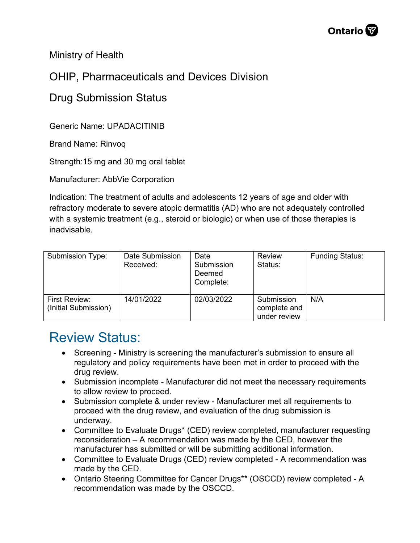

Ministry of Health

## OHIP, Pharmaceuticals and Devices Division

## Drug Submission Status

Generic Name: UPADACITINIB

Brand Name: Rinvoq

Strength:15 mg and 30 mg oral tablet

Manufacturer: AbbVie Corporation

Indication: The treatment of adults and adolescents 12 years of age and older with refractory moderate to severe atopic dermatitis (AD) who are not adequately controlled with a systemic treatment (e.g., steroid or biologic) or when use of those therapies is inadvisable.

| Submission Type:                             | Date Submission<br>Received: | Date<br>Submission<br>Deemed<br>Complete: | Review<br>Status:                          | <b>Funding Status:</b> |
|----------------------------------------------|------------------------------|-------------------------------------------|--------------------------------------------|------------------------|
| <b>First Review:</b><br>(Initial Submission) | 14/01/2022                   | 02/03/2022                                | Submission<br>complete and<br>under review | N/A                    |

## Review Status:

- Screening Ministry is screening the manufacturer's submission to ensure all regulatory and policy requirements have been met in order to proceed with the drug review.
- Submission incomplete Manufacturer did not meet the necessary requirements to allow review to proceed.
- Submission complete & under review Manufacturer met all requirements to proceed with the drug review, and evaluation of the drug submission is underway.
- Committee to Evaluate Drugs\* (CED) review completed, manufacturer requesting reconsideration – A recommendation was made by the CED, however the manufacturer has submitted or will be submitting additional information.
- Committee to Evaluate Drugs (CED) review completed A recommendation was made by the CED.
- Ontario Steering Committee for Cancer Drugs\*\* (OSCCD) review completed A recommendation was made by the OSCCD.